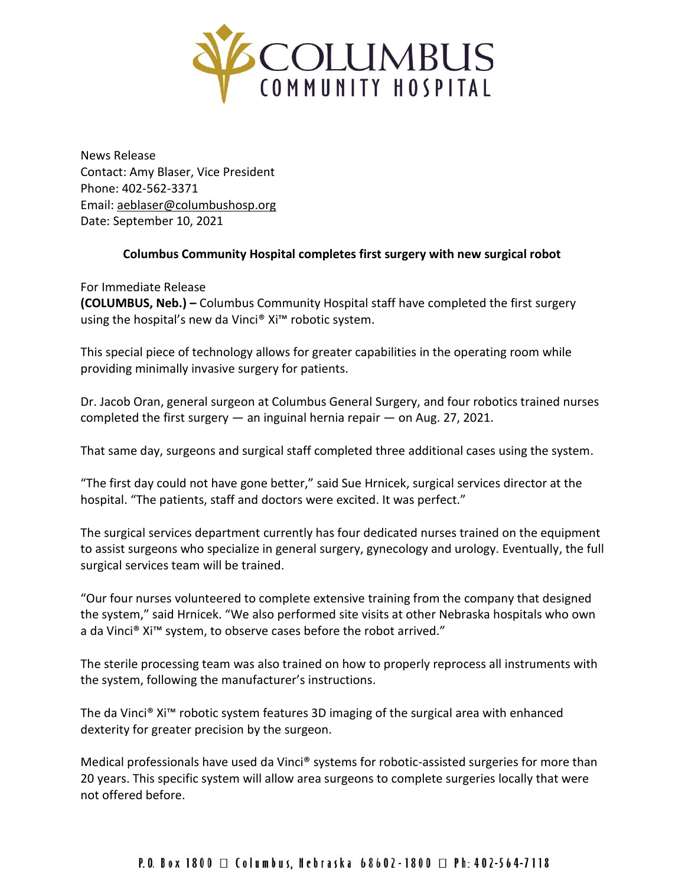

News Release Contact: Amy Blaser, Vice President Phone: 402-562-3371 Email: [aeblaser@columbushosp.org](mailto:aeblaser@columbushosp.org) Date: September 10, 2021

## **Columbus Community Hospital completes first surgery with new surgical robot**

For Immediate Release **(COLUMBUS, Neb.) –** Columbus Community Hospital staff have completed the first surgery using the hospital's new da Vinci® Xi™ robotic system.

This special piece of technology allows for greater capabilities in the operating room while providing minimally invasive surgery for patients.

Dr. Jacob Oran, general surgeon at Columbus General Surgery, and four robotics trained nurses completed the first surgery  $-$  an inguinal hernia repair  $-$  on Aug. 27, 2021.

That same day, surgeons and surgical staff completed three additional cases using the system.

"The first day could not have gone better," said Sue Hrnicek, surgical services director at the hospital. "The patients, staff and doctors were excited. It was perfect."

The surgical services department currently has four dedicated nurses trained on the equipment to assist surgeons who specialize in general surgery, gynecology and urology. Eventually, the full surgical services team will be trained.

"Our four nurses volunteered to complete extensive training from the company that designed the system," said Hrnicek. "We also performed site visits at other Nebraska hospitals who own a da Vinci® Xi™ system, to observe cases before the robot arrived."

The sterile processing team was also trained on how to properly reprocess all instruments with the system, following the manufacturer's instructions.

The da Vinci® Xi™ robotic system features 3D imaging of the surgical area with enhanced dexterity for greater precision by the surgeon.

Medical professionals have used da Vinci® systems for robotic-assisted surgeries for more than 20 years. This specific system will allow area surgeons to complete surgeries locally that were not offered before.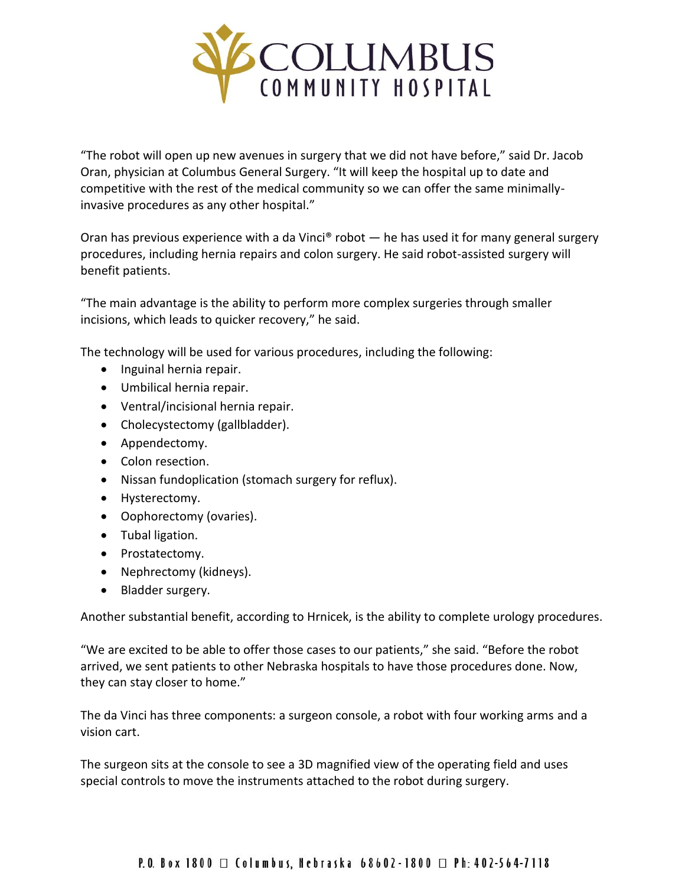

"The robot will open up new avenues in surgery that we did not have before," said Dr. Jacob Oran, physician at Columbus General Surgery. "It will keep the hospital up to date and competitive with the rest of the medical community so we can offer the same minimallyinvasive procedures as any other hospital."

Oran has previous experience with a da Vinci<sup>®</sup> robot  $-$  he has used it for many general surgery procedures, including hernia repairs and colon surgery. He said robot-assisted surgery will benefit patients.

"The main advantage is the ability to perform more complex surgeries through smaller incisions, which leads to quicker recovery," he said.

The technology will be used for various procedures, including the following:

- Inguinal hernia repair.
- Umbilical hernia repair.
- Ventral/incisional hernia repair.
- Cholecystectomy (gallbladder).
- Appendectomy.
- Colon resection.
- Nissan fundoplication (stomach surgery for reflux).
- Hysterectomy.
- Oophorectomy (ovaries).
- Tubal ligation.
- Prostatectomy.
- Nephrectomy (kidneys).
- Bladder surgery.

Another substantial benefit, according to Hrnicek, is the ability to complete urology procedures.

"We are excited to be able to offer those cases to our patients," she said. "Before the robot arrived, we sent patients to other Nebraska hospitals to have those procedures done. Now, they can stay closer to home."

The da Vinci has three components: a surgeon console, a robot with four working arms and a vision cart.

The surgeon sits at the console to see a 3D magnified view of the operating field and uses special controls to move the instruments attached to the robot during surgery.